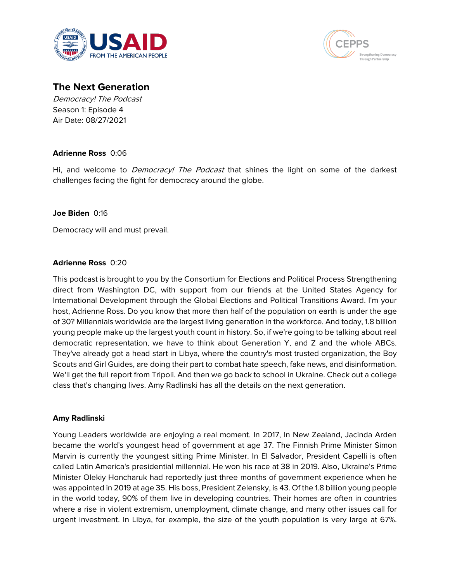



# **The Next Generation**

Democracy! The Podcast Season 1: Episode 4 Air Date: 08/27/2021

## **Adrienne Ross** 0:06

Hi, and welcome to *Democracy! The Podcast* that shines the light on some of the darkest challenges facing the fight for democracy around the globe.

## **Joe Biden** 0:16

Democracy will and must prevail.

## **Adrienne Ross** 0:20

This podcast is brought to you by the Consortium for Elections and Political Process Strengthening direct from Washington DC, with support from our friends at the United States Agency for International Development through the Global Elections and Political Transitions Award. I'm your host, Adrienne Ross. Do you know that more than half of the population on earth is under the age of 30? Millennials worldwide are the largest living generation in the workforce. And today, 1.8 billion young people make up the largest youth count in history. So, if we're going to be talking about real democratic representation, we have to think about Generation Y, and Z and the whole ABCs. They've already got a head start in Libya, where the country's most trusted organization, the Boy Scouts and Girl Guides, are doing their part to combat hate speech, fake news, and disinformation. We'll get the full report from Tripoli. And then we go back to school in Ukraine. Check out a college class that's changing lives. Amy Radlinski has all the details on the next generation.

## **Amy Radlinski**

Young Leaders worldwide are enjoying a real moment. In 2017, In New Zealand, Jacinda Arden became the world's youngest head of government at age 37. The Finnish Prime Minister Simon Marvin is currently the youngest sitting Prime Minister. In El Salvador, President Capelli is often called Latin America's presidential millennial. He won his race at 38 in 2019. Also, Ukraine's Prime Minister Olekiy Honcharuk had reportedly just three months of government experience when he was appointed in 2019 at age 35. His boss, President Zelensky, is 43. Of the 1.8 billion young people in the world today, 90% of them live in developing countries. Their homes are often in countries where a rise in violent extremism, unemployment, climate change, and many other issues call for urgent investment. In Libya, for example, the size of the youth population is very large at 67%.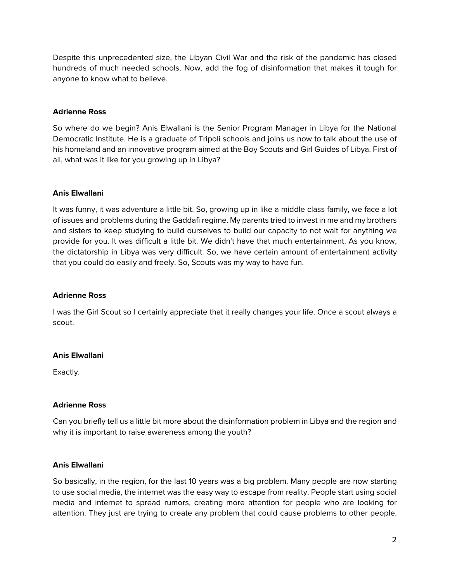Despite this unprecedented size, the Libyan Civil War and the risk of the pandemic has closed hundreds of much needed schools. Now, add the fog of disinformation that makes it tough for anyone to know what to believe.

## **Adrienne Ross**

So where do we begin? Anis Elwallani is the Senior Program Manager in Libya for the National Democratic Institute. He is a graduate of Tripoli schools and joins us now to talk about the use of his homeland and an innovative program aimed at the Boy Scouts and Girl Guides of Libya. First of all, what was it like for you growing up in Libya?

## **Anis Elwallani**

It was funny, it was adventure a little bit. So, growing up in like a middle class family, we face a lot of issues and problems during the Gaddafi regime. My parents tried to invest in me and my brothers and sisters to keep studying to build ourselves to build our capacity to not wait for anything we provide for you. It was difficult a little bit. We didn't have that much entertainment. As you know, the dictatorship in Libya was very difficult. So, we have certain amount of entertainment activity that you could do easily and freely. So, Scouts was my way to have fun.

## **Adrienne Ross**

I was the Girl Scout so I certainly appreciate that it really changes your life. Once a scout always a scout.

## **Anis Elwallani**

Exactly.

## **Adrienne Ross**

Can you briefly tell us a little bit more about the disinformation problem in Libya and the region and why it is important to raise awareness among the youth?

## **Anis Elwallani**

So basically, in the region, for the last 10 years was a big problem. Many people are now starting to use social media, the internet was the easy way to escape from reality. People start using social media and internet to spread rumors, creating more attention for people who are looking for attention. They just are trying to create any problem that could cause problems to other people.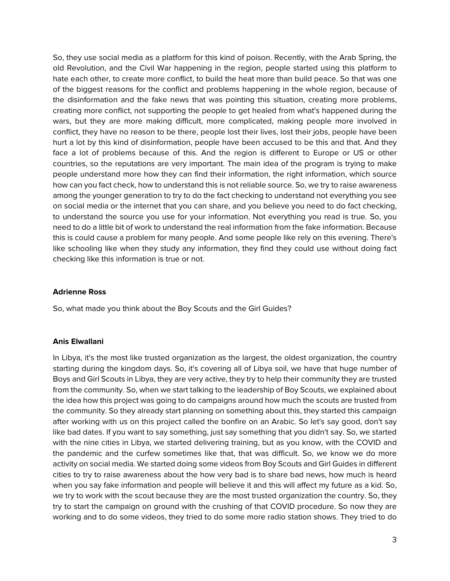So, they use social media as a platform for this kind of poison. Recently, with the Arab Spring, the old Revolution, and the Civil War happening in the region, people started using this platform to hate each other, to create more conflict, to build the heat more than build peace. So that was one of the biggest reasons for the conflict and problems happening in the whole region, because of the disinformation and the fake news that was pointing this situation, creating more problems, creating more conflict, not supporting the people to get healed from what's happened during the wars, but they are more making difficult, more complicated, making people more involved in conflict, they have no reason to be there, people lost their lives, lost their jobs, people have been hurt a lot by this kind of disinformation, people have been accused to be this and that. And they face a lot of problems because of this. And the region is different to Europe or US or other countries, so the reputations are very important. The main idea of the program is trying to make people understand more how they can find their information, the right information, which source how can you fact check, how to understand this is not reliable source. So, we try to raise awareness among the younger generation to try to do the fact checking to understand not everything you see on social media or the internet that you can share, and you believe you need to do fact checking, to understand the source you use for your information. Not everything you read is true. So, you need to do a little bit of work to understand the real information from the fake information. Because this is could cause a problem for many people. And some people like rely on this evening. There's like schooling like when they study any information, they find they could use without doing fact checking like this information is true or not.

## **Adrienne Ross**

So, what made you think about the Boy Scouts and the Girl Guides?

## **Anis Elwallani**

In Libya, it's the most like trusted organization as the largest, the oldest organization, the country starting during the kingdom days. So, it's covering all of Libya soil, we have that huge number of Boys and Girl Scouts in Libya, they are very active, they try to help their community they are trusted from the community. So, when we start talking to the leadership of Boy Scouts, we explained about the idea how this project was going to do campaigns around how much the scouts are trusted from the community. So they already start planning on something about this, they started this campaign after working with us on this project called the bonfire on an Arabic. So let's say good, don't say like bad dates. If you want to say something, just say something that you didn't say. So, we started with the nine cities in Libya, we started delivering training, but as you know, with the COVID and the pandemic and the curfew sometimes like that, that was difficult. So, we know we do more activity on social media. We started doing some videos from Boy Scouts and Girl Guides in different cities to try to raise awareness about the how very bad is to share bad news, how much is heard when you say fake information and people will believe it and this will affect my future as a kid. So, we try to work with the scout because they are the most trusted organization the country. So, they try to start the campaign on ground with the crushing of that COVID procedure. So now they are working and to do some videos, they tried to do some more radio station shows. They tried to do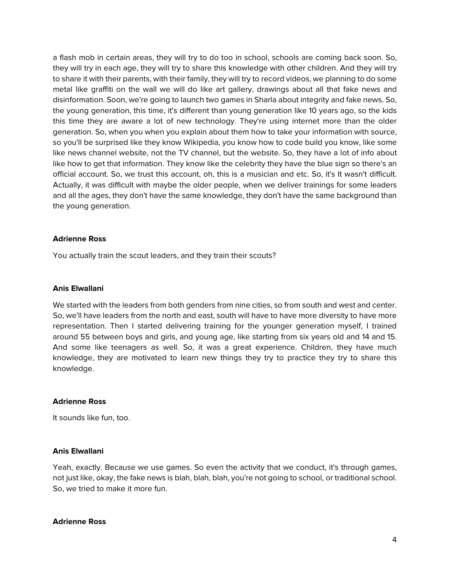a flash mob in certain areas, they will try to do too in school, schools are coming back soon. So, they will try in each age, they will try to share this knowledge with other children. And they will try to share it with their parents, with their family, they will try to record videos, we planning to do some metal like graffiti on the wall we will do like art gallery, drawings about all that fake news and disinformation. Soon, we're going to launch two games in Sharla about integrity and fake news. So, the young generation, this time, it's different than young generation like 10 years ago, so the kids this time they are aware a lot of new technology. They're using internet more than the older generation. So, when you when you explain about them how to take your information with source, so you'll be surprised like they know Wikipedia, you know how to code build you know, like some like news channel website, not the TV channel, but the website. So, they have a lot of info about like how to get that information. They know like the celebrity they have the blue sign so there's an official account. So, we trust this account, oh, this is a musician and etc. So, it's It wasn't difficult. Actually, it was difficult with maybe the older people, when we deliver trainings for some leaders and all the ages, they don't have the same knowledge, they don't have the same background than the young generation.

## **Adrienne Ross**

You actually train the scout leaders, and they train their scouts?

#### **Anis Elwallani**

We started with the leaders from both genders from nine cities, so from south and west and center. So, we'll have leaders from the north and east, south will have to have more diversity to have more representation. Then I started delivering training for the younger generation myself, I trained around 55 between boys and girls, and young age, like starting from six years old and 14 and 15. And some like teenagers as well. So, it was a great experience. Children, they have much knowledge, they are motivated to learn new things they try to practice they try to share this knowledge.

#### **Adrienne Ross**

It sounds like fun, too.

#### **Anis Elwallani**

Yeah, exactly. Because we use games. So even the activity that we conduct, it's through games, not just like, okay, the fake news is blah, blah, blah, you're not going to school, or traditional school. So, we tried to make it more fun.

#### **Adrienne Ross**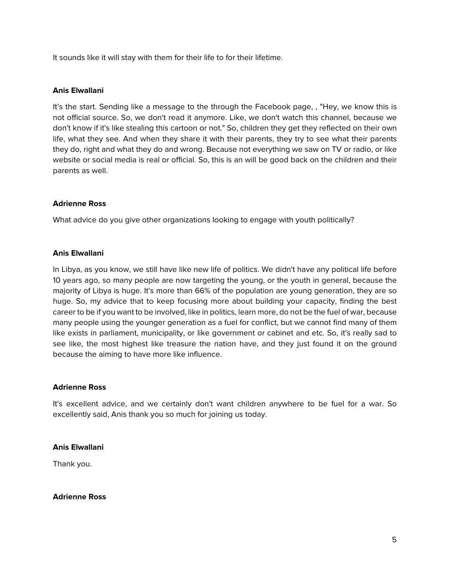It sounds like it will stay with them for their life to for their lifetime.

## **Anis Elwallani**

It's the start. Sending like a message to the through the Facebook page, , "Hey, we know this is not official source. So, we don't read it anymore. Like, we don't watch this channel, because we don't know if it's like stealing this cartoon or not." So, children they get they reflected on their own life, what they see. And when they share it with their parents, they try to see what their parents they do, right and what they do and wrong. Because not everything we saw on TV or radio, or like website or social media is real or official. So, this is an will be good back on the children and their parents as well.

## **Adrienne Ross**

What advice do you give other organizations looking to engage with youth politically?

## **Anis Elwallani**

In Libya, as you know, we still have like new life of politics. We didn't have any political life before 10 years ago, so many people are now targeting the young, or the youth in general, because the majority of Libya is huge. It's more than 66% of the population are young generation, they are so huge. So, my advice that to keep focusing more about building your capacity, finding the best career to be if you want to be involved, like in politics, learn more, do not be the fuel of war, because many people using the younger generation as a fuel for conflict, but we cannot find many of them like exists in parliament, municipality, or like government or cabinet and etc. So, it's really sad to see like, the most highest like treasure the nation have, and they just found it on the ground because the aiming to have more like influence.

## **Adrienne Ross**

It's excellent advice, and we certainly don't want children anywhere to be fuel for a war. So excellently said, Anis thank you so much for joining us today.

## **Anis Elwallani**

Thank you.

## **Adrienne Ross**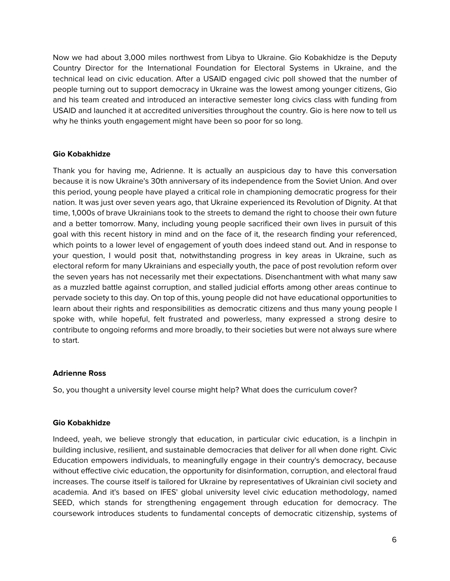Now we had about 3,000 miles northwest from Libya to Ukraine. Gio Kobakhidze is the Deputy Country Director for the International Foundation for Electoral Systems in Ukraine, and the technical lead on civic education. After a USAID engaged civic poll showed that the number of people turning out to support democracy in Ukraine was the lowest among younger citizens, Gio and his team created and introduced an interactive semester long civics class with funding from USAID and launched it at accredited universities throughout the country. Gio is here now to tell us why he thinks youth engagement might have been so poor for so long.

## **Gio Kobakhidze**

Thank you for having me, Adrienne. It is actually an auspicious day to have this conversation because it is now Ukraine's 30th anniversary of its independence from the Soviet Union. And over this period, young people have played a critical role in championing democratic progress for their nation. It was just over seven years ago, that Ukraine experienced its Revolution of Dignity. At that time, 1,000s of brave Ukrainians took to the streets to demand the right to choose their own future and a better tomorrow. Many, including young people sacrificed their own lives in pursuit of this goal with this recent history in mind and on the face of it, the research finding your referenced, which points to a lower level of engagement of youth does indeed stand out. And in response to your question, I would posit that, notwithstanding progress in key areas in Ukraine, such as electoral reform for many Ukrainians and especially youth, the pace of post revolution reform over the seven years has not necessarily met their expectations. Disenchantment with what many saw as a muzzled battle against corruption, and stalled judicial efforts among other areas continue to pervade society to this day. On top of this, young people did not have educational opportunities to learn about their rights and responsibilities as democratic citizens and thus many young people I spoke with, while hopeful, felt frustrated and powerless, many expressed a strong desire to contribute to ongoing reforms and more broadly, to their societies but were not always sure where to start.

## **Adrienne Ross**

So, you thought a university level course might help? What does the curriculum cover?

## **Gio Kobakhidze**

Indeed, yeah, we believe strongly that education, in particular civic education, is a linchpin in building inclusive, resilient, and sustainable democracies that deliver for all when done right. Civic Education empowers individuals, to meaningfully engage in their country's democracy, because without effective civic education, the opportunity for disinformation, corruption, and electoral fraud increases. The course itself is tailored for Ukraine by representatives of Ukrainian civil society and academia. And it's based on IFES' global university level civic education methodology, named SEED, which stands for strengthening engagement through education for democracy. The coursework introduces students to fundamental concepts of democratic citizenship, systems of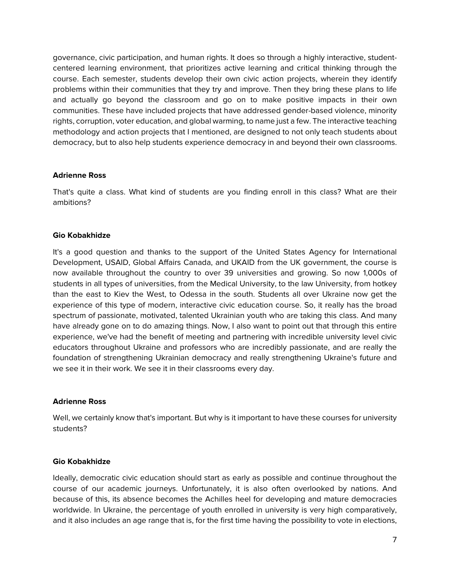governance, civic participation, and human rights. It does so through a highly interactive, studentcentered learning environment, that prioritizes active learning and critical thinking through the course. Each semester, students develop their own civic action projects, wherein they identify problems within their communities that they try and improve. Then they bring these plans to life and actually go beyond the classroom and go on to make positive impacts in their own communities. These have included projects that have addressed gender-based violence, minority rights, corruption, voter education, and global warming, to name just a few. The interactive teaching methodology and action projects that I mentioned, are designed to not only teach students about democracy, but to also help students experience democracy in and beyond their own classrooms.

## **Adrienne Ross**

That's quite a class. What kind of students are you finding enroll in this class? What are their ambitions?

## **Gio Kobakhidze**

It's a good question and thanks to the support of the United States Agency for International Development, USAID, Global Affairs Canada, and UKAID from the UK government, the course is now available throughout the country to over 39 universities and growing. So now 1,000s of students in all types of universities, from the Medical University, to the law University, from hotkey than the east to Kiev the West, to Odessa in the south. Students all over Ukraine now get the experience of this type of modern, interactive civic education course. So, it really has the broad spectrum of passionate, motivated, talented Ukrainian youth who are taking this class. And many have already gone on to do amazing things. Now, I also want to point out that through this entire experience, we've had the benefit of meeting and partnering with incredible university level civic educators throughout Ukraine and professors who are incredibly passionate, and are really the foundation of strengthening Ukrainian democracy and really strengthening Ukraine's future and we see it in their work. We see it in their classrooms every day.

## **Adrienne Ross**

Well, we certainly know that's important. But why is it important to have these courses for university students?

## **Gio Kobakhidze**

Ideally, democratic civic education should start as early as possible and continue throughout the course of our academic journeys. Unfortunately, it is also often overlooked by nations. And because of this, its absence becomes the Achilles heel for developing and mature democracies worldwide. In Ukraine, the percentage of youth enrolled in university is very high comparatively, and it also includes an age range that is, for the first time having the possibility to vote in elections,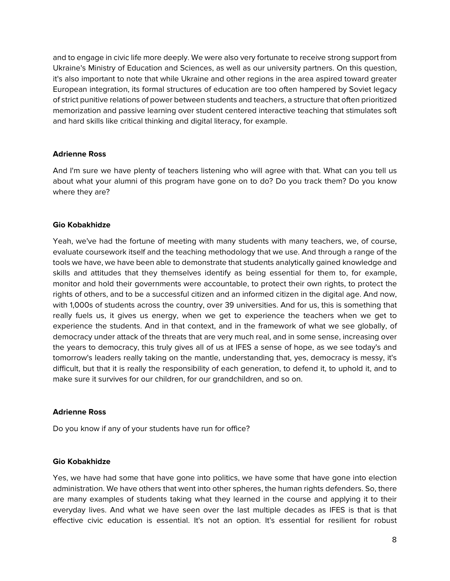and to engage in civic life more deeply. We were also very fortunate to receive strong support from Ukraine's Ministry of Education and Sciences, as well as our university partners. On this question, it's also important to note that while Ukraine and other regions in the area aspired toward greater European integration, its formal structures of education are too often hampered by Soviet legacy of strict punitive relations of power between students and teachers, a structure that often prioritized memorization and passive learning over student centered interactive teaching that stimulates soft and hard skills like critical thinking and digital literacy, for example.

## **Adrienne Ross**

And I'm sure we have plenty of teachers listening who will agree with that. What can you tell us about what your alumni of this program have gone on to do? Do you track them? Do you know where they are?

## **Gio Kobakhidze**

Yeah, we've had the fortune of meeting with many students with many teachers, we, of course, evaluate coursework itself and the teaching methodology that we use. And through a range of the tools we have, we have been able to demonstrate that students analytically gained knowledge and skills and attitudes that they themselves identify as being essential for them to, for example, monitor and hold their governments were accountable, to protect their own rights, to protect the rights of others, and to be a successful citizen and an informed citizen in the digital age. And now, with 1,000s of students across the country, over 39 universities. And for us, this is something that really fuels us, it gives us energy, when we get to experience the teachers when we get to experience the students. And in that context, and in the framework of what we see globally, of democracy under attack of the threats that are very much real, and in some sense, increasing over the years to democracy, this truly gives all of us at IFES a sense of hope, as we see today's and tomorrow's leaders really taking on the mantle, understanding that, yes, democracy is messy, it's difficult, but that it is really the responsibility of each generation, to defend it, to uphold it, and to make sure it survives for our children, for our grandchildren, and so on.

## **Adrienne Ross**

Do you know if any of your students have run for office?

## **Gio Kobakhidze**

Yes, we have had some that have gone into politics, we have some that have gone into election administration. We have others that went into other spheres, the human rights defenders. So, there are many examples of students taking what they learned in the course and applying it to their everyday lives. And what we have seen over the last multiple decades as IFES is that is that effective civic education is essential. It's not an option. It's essential for resilient for robust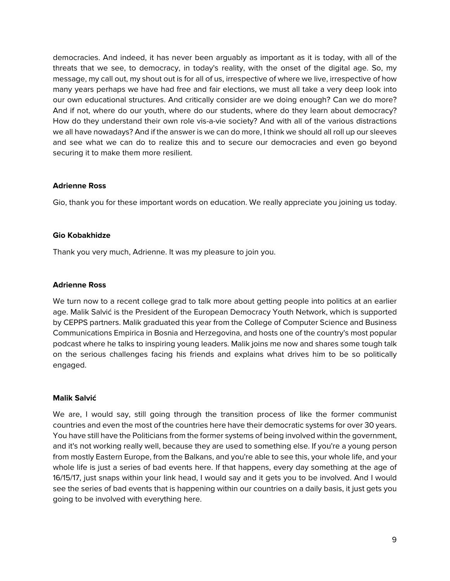democracies. And indeed, it has never been arguably as important as it is today, with all of the threats that we see, to democracy, in today's reality, with the onset of the digital age. So, my message, my call out, my shout out is for all of us, irrespective of where we live, irrespective of how many years perhaps we have had free and fair elections, we must all take a very deep look into our own educational structures. And critically consider are we doing enough? Can we do more? And if not, where do our youth, where do our students, where do they learn about democracy? How do they understand their own role vis-a-vie society? And with all of the various distractions we all have nowadays? And if the answer is we can do more, I think we should all roll up our sleeves and see what we can do to realize this and to secure our democracies and even go beyond securing it to make them more resilient.

## **Adrienne Ross**

Gio, thank you for these important words on education. We really appreciate you joining us today.

## **Gio Kobakhidze**

Thank you very much, Adrienne. It was my pleasure to join you.

## **Adrienne Ross**

We turn now to a recent college grad to talk more about getting people into politics at an earlier age. Malik Salvić is the President of the European Democracy Youth Network, which is supported by CEPPS partners. Malik graduated this year from the College of Computer Science and Business Communications Empirica in Bosnia and Herzegovina, and hosts one of the country's most popular podcast where he talks to inspiring young leaders. Malik joins me now and shares some tough talk on the serious challenges facing his friends and explains what drives him to be so politically engaged.

## **Malik Salvić**

We are, I would say, still going through the transition process of like the former communist countries and even the most of the countries here have their democratic systems for over 30 years. You have still have the Politicians from the former systems of being involved within the government, and it's not working really well, because they are used to something else. If you're a young person from mostly Eastern Europe, from the Balkans, and you're able to see this, your whole life, and your whole life is just a series of bad events here. If that happens, every day something at the age of 16/15/17, just snaps within your link head, I would say and it gets you to be involved. And I would see the series of bad events that is happening within our countries on a daily basis, it just gets you going to be involved with everything here.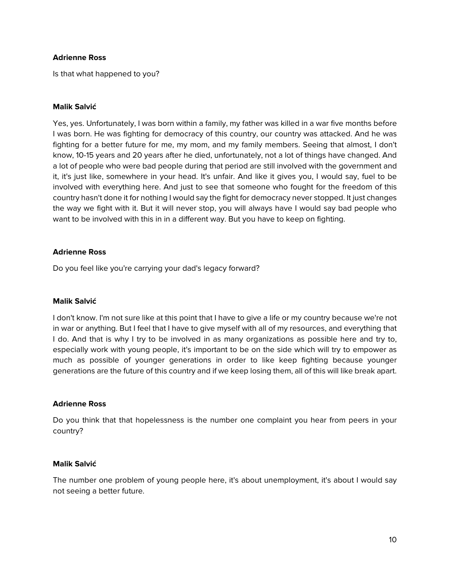## **Adrienne Ross**

Is that what happened to you?

#### **Malik Salvić**

Yes, yes. Unfortunately, I was born within a family, my father was killed in a war five months before I was born. He was fighting for democracy of this country, our country was attacked. And he was fighting for a better future for me, my mom, and my family members. Seeing that almost, I don't know, 10-15 years and 20 years after he died, unfortunately, not a lot of things have changed. And a lot of people who were bad people during that period are still involved with the government and it, it's just like, somewhere in your head. It's unfair. And like it gives you, I would say, fuel to be involved with everything here. And just to see that someone who fought for the freedom of this country hasn't done it for nothing I would say the fight for democracy never stopped. It just changes the way we fight with it. But it will never stop, you will always have I would say bad people who want to be involved with this in in a different way. But you have to keep on fighting.

## **Adrienne Ross**

Do you feel like you're carrying your dad's legacy forward?

## **Malik Salvić**

I don't know. I'm not sure like at this point that I have to give a life or my country because we're not in war or anything. But I feel that I have to give myself with all of my resources, and everything that I do. And that is why I try to be involved in as many organizations as possible here and try to, especially work with young people, it's important to be on the side which will try to empower as much as possible of younger generations in order to like keep fighting because younger generations are the future of this country and if we keep losing them, all of this will like break apart.

## **Adrienne Ross**

Do you think that that hopelessness is the number one complaint you hear from peers in your country?

#### **Malik Salvić**

The number one problem of young people here, it's about unemployment, it's about I would say not seeing a better future.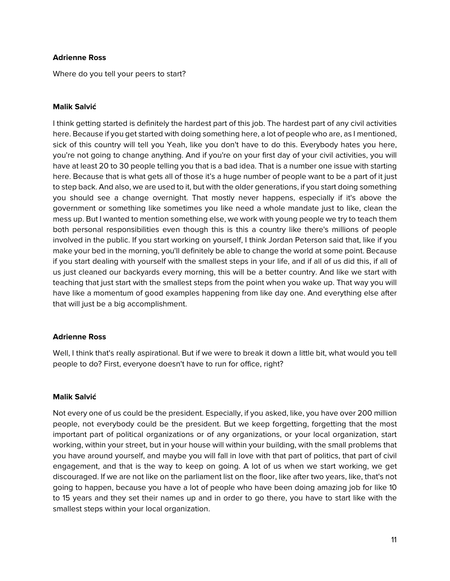## **Adrienne Ross**

Where do you tell your peers to start?

## **Malik Salvić**

I think getting started is definitely the hardest part of this job. The hardest part of any civil activities here. Because if you get started with doing something here, a lot of people who are, as I mentioned, sick of this country will tell you Yeah, like you don't have to do this. Everybody hates you here, you're not going to change anything. And if you're on your first day of your civil activities, you will have at least 20 to 30 people telling you that is a bad idea. That is a number one issue with starting here. Because that is what gets all of those it's a huge number of people want to be a part of it just to step back. And also, we are used to it, but with the older generations, if you start doing something you should see a change overnight. That mostly never happens, especially if it's above the government or something like sometimes you like need a whole mandate just to like, clean the mess up. But I wanted to mention something else, we work with young people we try to teach them both personal responsibilities even though this is this a country like there's millions of people involved in the public. If you start working on yourself, I think Jordan Peterson said that, like if you make your bed in the morning, you'll definitely be able to change the world at some point. Because if you start dealing with yourself with the smallest steps in your life, and if all of us did this, if all of us just cleaned our backyards every morning, this will be a better country. And like we start with teaching that just start with the smallest steps from the point when you wake up. That way you will have like a momentum of good examples happening from like day one. And everything else after that will just be a big accomplishment.

## **Adrienne Ross**

Well, I think that's really aspirational. But if we were to break it down a little bit, what would you tell people to do? First, everyone doesn't have to run for office, right?

## **Malik Salvić**

Not every one of us could be the president. Especially, if you asked, like, you have over 200 million people, not everybody could be the president. But we keep forgetting, forgetting that the most important part of political organizations or of any organizations, or your local organization, start working, within your street, but in your house will within your building, with the small problems that you have around yourself, and maybe you will fall in love with that part of politics, that part of civil engagement, and that is the way to keep on going. A lot of us when we start working, we get discouraged. If we are not like on the parliament list on the floor, like after two years, like, that's not going to happen, because you have a lot of people who have been doing amazing job for like 10 to 15 years and they set their names up and in order to go there, you have to start like with the smallest steps within your local organization.